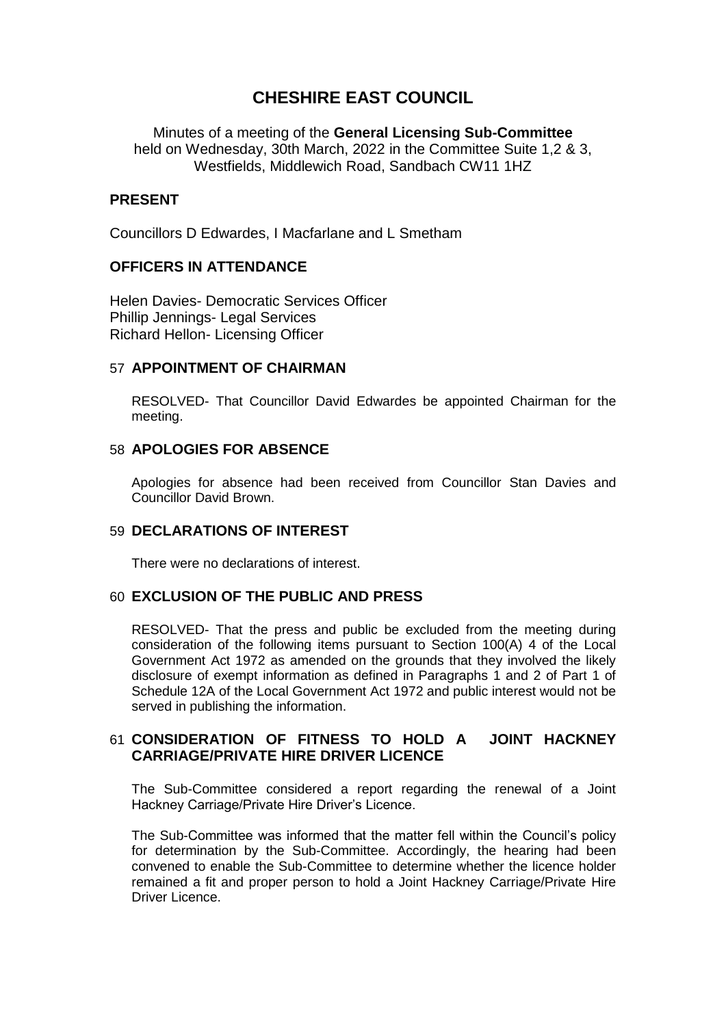# **CHESHIRE EAST COUNCIL**

Minutes of a meeting of the **General Licensing Sub-Committee** held on Wednesday, 30th March, 2022 in the Committee Suite 1,2 & 3, Westfields, Middlewich Road, Sandbach CW11 1HZ

## **PRESENT**

Councillors D Edwardes, I Macfarlane and L Smetham

## **OFFICERS IN ATTENDANCE**

Helen Davies- Democratic Services Officer Phillip Jennings- Legal Services Richard Hellon- Licensing Officer

#### 57 **APPOINTMENT OF CHAIRMAN**

RESOLVED- That Councillor David Edwardes be appointed Chairman for the meeting.

#### 58 **APOLOGIES FOR ABSENCE**

Apologies for absence had been received from Councillor Stan Davies and Councillor David Brown.

#### 59 **DECLARATIONS OF INTEREST**

There were no declarations of interest.

## 60 **EXCLUSION OF THE PUBLIC AND PRESS**

RESOLVED- That the press and public be excluded from the meeting during consideration of the following items pursuant to Section 100(A) 4 of the Local Government Act 1972 as amended on the grounds that they involved the likely disclosure of exempt information as defined in Paragraphs 1 and 2 of Part 1 of Schedule 12A of the Local Government Act 1972 and public interest would not be served in publishing the information.

#### 61 **CONSIDERATION OF FITNESS TO HOLD A JOINT HACKNEY CARRIAGE/PRIVATE HIRE DRIVER LICENCE**

The Sub-Committee considered a report regarding the renewal of a Joint Hackney Carriage/Private Hire Driver's Licence.

The Sub-Committee was informed that the matter fell within the Council's policy for determination by the Sub-Committee. Accordingly, the hearing had been convened to enable the Sub-Committee to determine whether the licence holder remained a fit and proper person to hold a Joint Hackney Carriage/Private Hire Driver Licence.